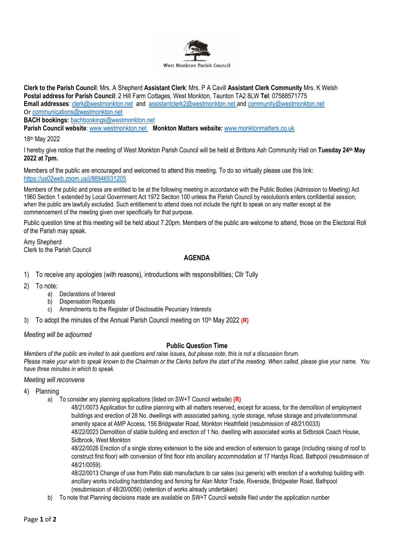

**Clerk to the Parish Council**: Mrs. A Shepherd **Assistant Clerk**: Mrs. P A Cavill **Assistant Clerk Community** Mrs. K Welsh **Postal address for Parish Council**: 2 Hill Farm Cottages, West Monkton, Taunton TA2 8LW **Tel**: 07588571775 **Email addresses**: [clerk@westmonkton.net](mailto:clerk@westmonkton.net) and [assistantclerk2@westmonkton.net](mailto:assistantclerk2@westmonkton.net) an[d community@westmonkton.net](mailto:community@westmonkton.net) Or [communications@westmonkton.net](mailto:communications@westmonkton.net)

**BACH bookings:** [bachbookings@westmonkton.net](mailto:bachbookings@westmonkton.net)

**Parish Council website**: [www.westmonkton.net](http://www.westmonkton.net/) **Monkton Matters website:** [www.monktonmatters.co.uk](http://www.monktonmatters.co.uk/)

18th May 2022

I hereby give notice that the meeting of West Monkton Parish Council will be held at Brittons Ash Community Hall on **Tuesday 24 th May 2022 at 7pm.**

Members of the public are encouraged and welcomed to attend this meeting. To do so virtually please use this link: <https://us02web.zoom.us/j/86946531205>

Members of the public and press are entitled to be at the following meeting in accordance with the Public Bodies (Admission to Meeting) Act 1960 Section 1 extended by Local Government Act 1972 Section 100 unless the Parish Council by resolution/s enters confidential session, when the public are lawfully excluded. Such entitlement to attend does not include the right to speak on any matter except at the commencement of the meeting given over specifically for that purpose.

Public question time at this meeting will be held about 7.20pm. Members of the public are welcome to attend, those on the Electoral Roll of the Parish may speak.

Amy Shepherd Clerk to the Parish Council

# **AGENDA**

- 1) To receive any apologies (with reasons), introductions with responsibilities; Cllr Tully
- 2) To note:
	- a) Declarations of Interest
	- b) Dispensation Requests
	- c) Amendments to the Register of Disclosable Pecuniary Interests
- 3) To adopt the minutes of the Annual Parish Council meeting on 10<sup>th</sup> May 2022 (R)

## *Meeting will be adjourned*

## **Public Question Time**

*Members of the public are invited to ask questions and raise issues, but please note, this is not a discussion forum. Please make your wish to speak known to the Chairman or the Clerks before the start of the meeting. When called, please give your name. You have three minutes in which to speak.*

#### *Meeting will reconvene*

- 4) Planning
	- a) To consider any planning applications (listed on SW+T Council website) **(R)**

48/21/0073 Application for outline planning with all matters reserved, except for access, for the demolition of employment buildings and erection of 28 No. dwellings with associated parking, cycle storage, refuse storage and private/communal amenity space at AMP Access, 156 Bridgwater Road, Monkton Heathfield (resubmission of 48/21/0033) 48/22/0023 Demolition of stable building and erection of 1 No. dwelling with associated works at Sidbrook Coach House, Sidbrook, West Monkton

48/22/0026 Erection of a single storey extension to the side and erection of extension to garage (including raising of roof to construct first floor) with conversion of first floor into ancillary accommodation at 17 Hardys Road, Bathpool (resubmission of 48/21/0059).

48/22/0013 Change of use from Patio slab manufacture to car sales (sui generis) with erection of a workshop building with ancillary works including hardstanding and fencing for Alan Motor Trade, Riverside, Bridgwater Road, Bathpool (resubmission of 48/20/0056) (retention of works already undertaken)

b) To note that Planning decisions made are available on SW+T Council website filed under the application number